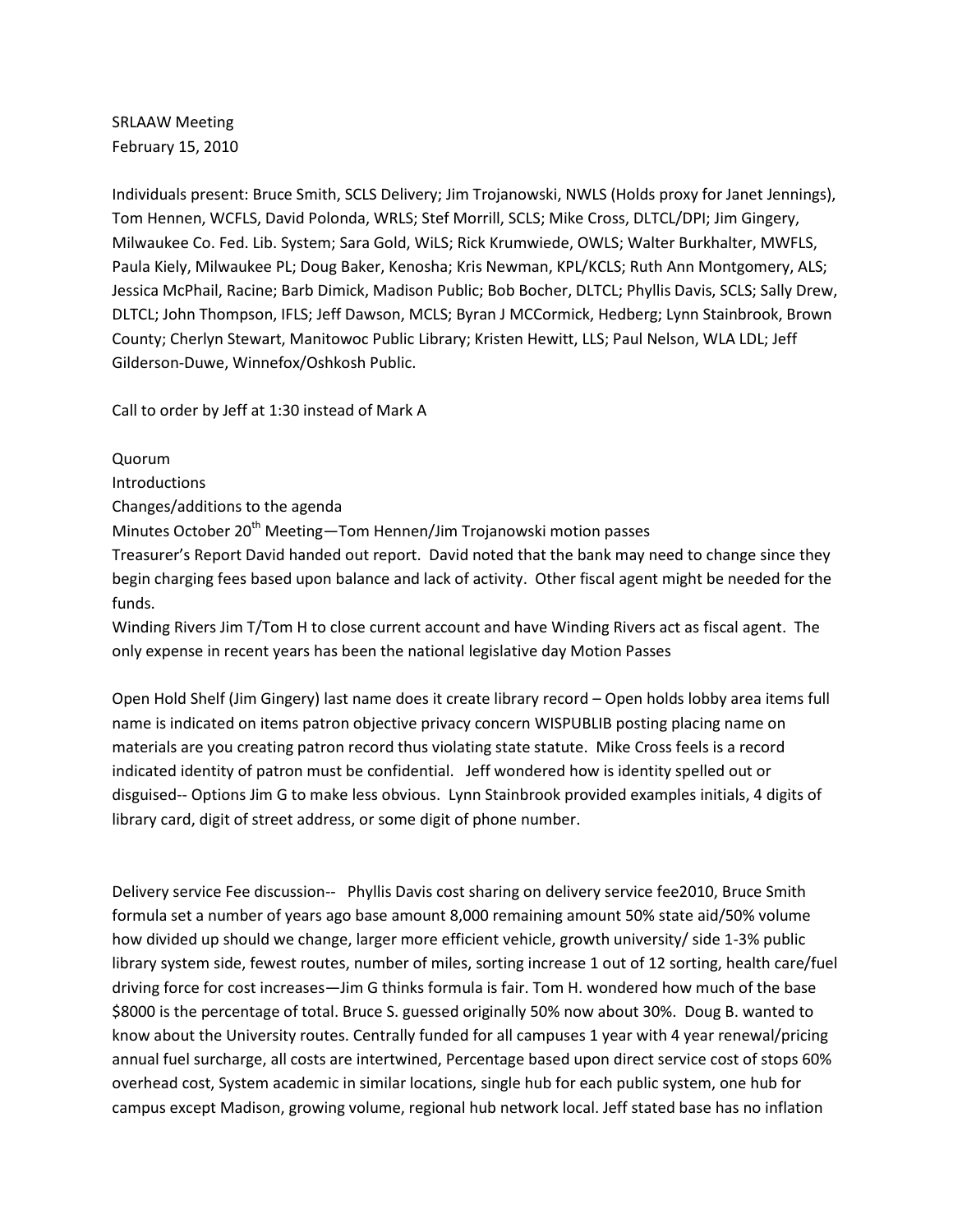SRLAAW Meeting February 15, 2010

Individuals present: Bruce Smith, SCLS Delivery; Jim Trojanowski, NWLS (Holds proxy for Janet Jennings), Tom Hennen, WCFLS, David Polonda, WRLS; Stef Morrill, SCLS; Mike Cross, DLTCL/DPI; Jim Gingery, Milwaukee Co. Fed. Lib. System; Sara Gold, WiLS; Rick Krumwiede, OWLS; Walter Burkhalter, MWFLS, Paula Kiely, Milwaukee PL; Doug Baker, Kenosha; Kris Newman, KPL/KCLS; Ruth Ann Montgomery, ALS; Jessica McPhail, Racine; Barb Dimick, Madison Public; Bob Bocher, DLTCL; Phyllis Davis, SCLS; Sally Drew, DLTCL; John Thompson, IFLS; Jeff Dawson, MCLS; Byran J MCCormick, Hedberg; Lynn Stainbrook, Brown County; Cherlyn Stewart, Manitowoc Public Library; Kristen Hewitt, LLS; Paul Nelson, WLA LDL; Jeff Gilderson-Duwe, Winnefox/Oshkosh Public.

Call to order by Jeff at 1:30 instead of Mark A

Quorum Introductions Changes/additions to the agenda Minutes October 20<sup>th</sup> Meeting—Tom Hennen/Jim Trojanowski motion passes Treasurer's Report David handed out report. David noted that the bank may need to change since they begin charging fees based upon balance and lack of activity. Other fiscal agent might be needed for the funds.

Winding Rivers Jim T/Tom H to close current account and have Winding Rivers act as fiscal agent. The only expense in recent years has been the national legislative day Motion Passes

Open Hold Shelf (Jim Gingery) last name does it create library record – Open holds lobby area items full name is indicated on items patron objective privacy concern WISPUBLIB posting placing name on materials are you creating patron record thus violating state statute. Mike Cross feels is a record indicated identity of patron must be confidential. Jeff wondered how is identity spelled out or disguised-- Options Jim G to make less obvious. Lynn Stainbrook provided examples initials, 4 digits of library card, digit of street address, or some digit of phone number.

Delivery service Fee discussion-- Phyllis Davis cost sharing on delivery service fee2010, Bruce Smith formula set a number of years ago base amount 8,000 remaining amount 50% state aid/50% volume how divided up should we change, larger more efficient vehicle, growth university/ side 1-3% public library system side, fewest routes, number of miles, sorting increase 1 out of 12 sorting, health care/fuel driving force for cost increases—Jim G thinks formula is fair. Tom H. wondered how much of the base \$8000 is the percentage of total. Bruce S. guessed originally 50% now about 30%. Doug B. wanted to know about the University routes. Centrally funded for all campuses 1 year with 4 year renewal/pricing annual fuel surcharge, all costs are intertwined, Percentage based upon direct service cost of stops 60% overhead cost, System academic in similar locations, single hub for each public system, one hub for campus except Madison, growing volume, regional hub network local. Jeff stated base has no inflation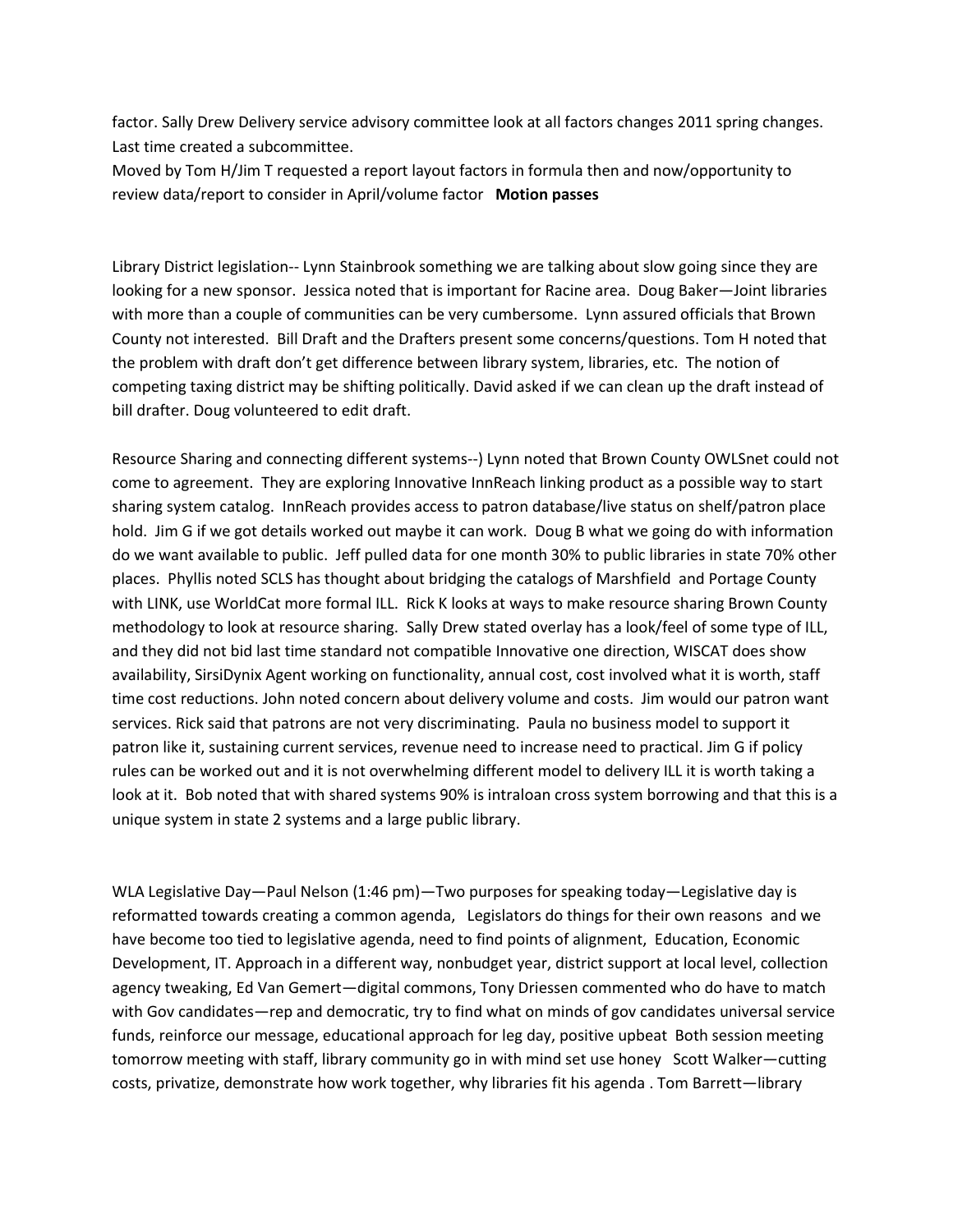factor. Sally Drew Delivery service advisory committee look at all factors changes 2011 spring changes. Last time created a subcommittee.

Moved by Tom H/Jim T requested a report layout factors in formula then and now/opportunity to review data/report to consider in April/volume factor **Motion passes**

Library District legislation-- Lynn Stainbrook something we are talking about slow going since they are looking for a new sponsor. Jessica noted that is important for Racine area. Doug Baker—Joint libraries with more than a couple of communities can be very cumbersome. Lynn assured officials that Brown County not interested. Bill Draft and the Drafters present some concerns/questions. Tom H noted that the problem with draft don't get difference between library system, libraries, etc. The notion of competing taxing district may be shifting politically. David asked if we can clean up the draft instead of bill drafter. Doug volunteered to edit draft.

Resource Sharing and connecting different systems--) Lynn noted that Brown County OWLSnet could not come to agreement. They are exploring Innovative InnReach linking product as a possible way to start sharing system catalog. InnReach provides access to patron database/live status on shelf/patron place hold. Jim G if we got details worked out maybe it can work. Doug B what we going do with information do we want available to public. Jeff pulled data for one month 30% to public libraries in state 70% other places. Phyllis noted SCLS has thought about bridging the catalogs of Marshfield and Portage County with LINK, use WorldCat more formal ILL. Rick K looks at ways to make resource sharing Brown County methodology to look at resource sharing. Sally Drew stated overlay has a look/feel of some type of ILL, and they did not bid last time standard not compatible Innovative one direction, WISCAT does show availability, SirsiDynix Agent working on functionality, annual cost, cost involved what it is worth, staff time cost reductions. John noted concern about delivery volume and costs. Jim would our patron want services. Rick said that patrons are not very discriminating. Paula no business model to support it patron like it, sustaining current services, revenue need to increase need to practical. Jim G if policy rules can be worked out and it is not overwhelming different model to delivery ILL it is worth taking a look at it. Bob noted that with shared systems 90% is intraloan cross system borrowing and that this is a unique system in state 2 systems and a large public library.

WLA Legislative Day—Paul Nelson (1:46 pm)—Two purposes for speaking today—Legislative day is reformatted towards creating a common agenda, Legislators do things for their own reasons and we have become too tied to legislative agenda, need to find points of alignment, Education, Economic Development, IT. Approach in a different way, nonbudget year, district support at local level, collection agency tweaking, Ed Van Gemert—digital commons, Tony Driessen commented who do have to match with Gov candidates—rep and democratic, try to find what on minds of gov candidates universal service funds, reinforce our message, educational approach for leg day, positive upbeat Both session meeting tomorrow meeting with staff, library community go in with mind set use honey Scott Walker—cutting costs, privatize, demonstrate how work together, why libraries fit his agenda . Tom Barrett—library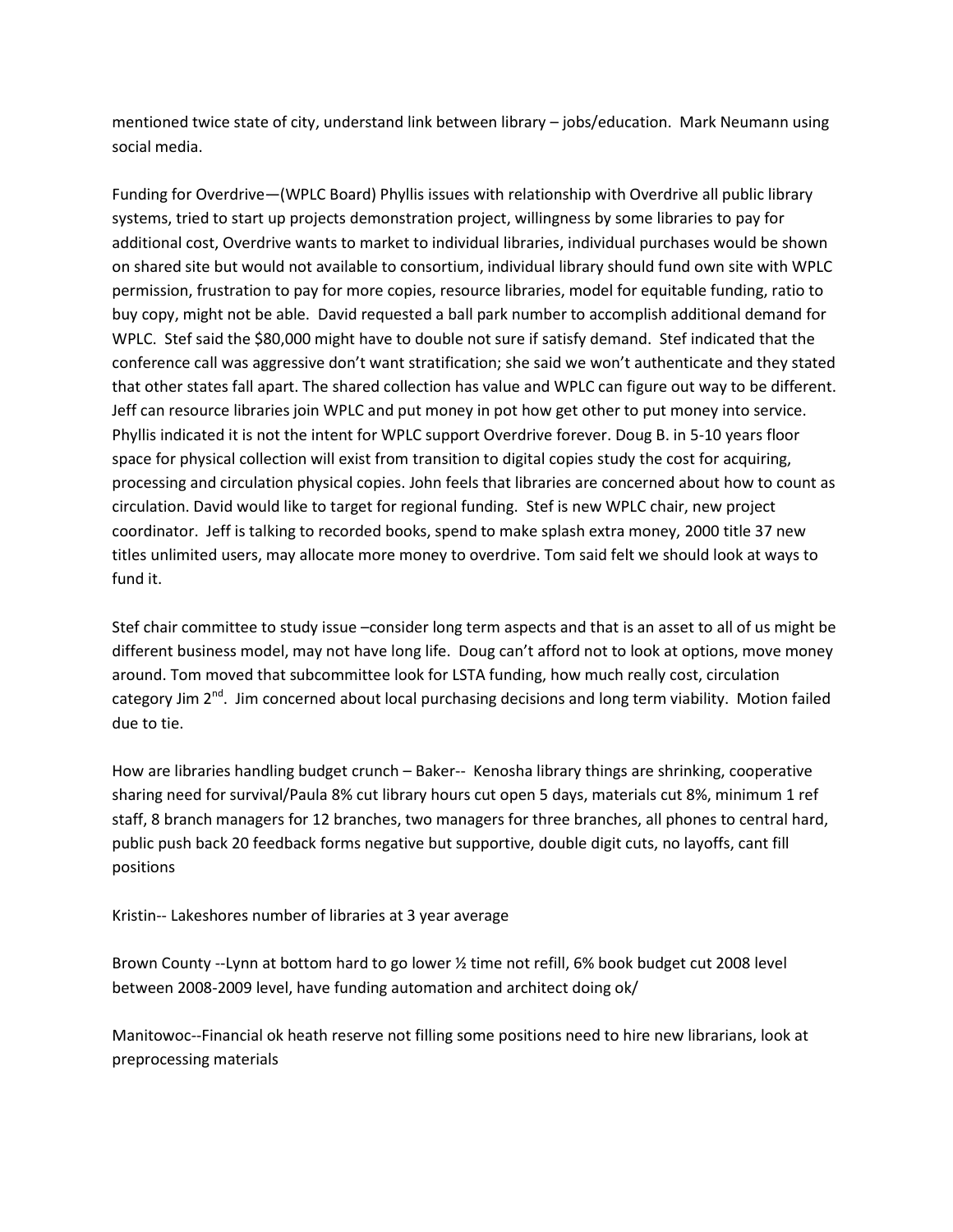mentioned twice state of city, understand link between library – jobs/education. Mark Neumann using social media.

Funding for Overdrive—(WPLC Board) Phyllis issues with relationship with Overdrive all public library systems, tried to start up projects demonstration project, willingness by some libraries to pay for additional cost, Overdrive wants to market to individual libraries, individual purchases would be shown on shared site but would not available to consortium, individual library should fund own site with WPLC permission, frustration to pay for more copies, resource libraries, model for equitable funding, ratio to buy copy, might not be able. David requested a ball park number to accomplish additional demand for WPLC. Stef said the \$80,000 might have to double not sure if satisfy demand. Stef indicated that the conference call was aggressive don't want stratification; she said we won't authenticate and they stated that other states fall apart. The shared collection has value and WPLC can figure out way to be different. Jeff can resource libraries join WPLC and put money in pot how get other to put money into service. Phyllis indicated it is not the intent for WPLC support Overdrive forever. Doug B. in 5-10 years floor space for physical collection will exist from transition to digital copies study the cost for acquiring, processing and circulation physical copies. John feels that libraries are concerned about how to count as circulation. David would like to target for regional funding. Stef is new WPLC chair, new project coordinator. Jeff is talking to recorded books, spend to make splash extra money, 2000 title 37 new titles unlimited users, may allocate more money to overdrive. Tom said felt we should look at ways to fund it.

Stef chair committee to study issue –consider long term aspects and that is an asset to all of us might be different business model, may not have long life. Doug can't afford not to look at options, move money around. Tom moved that subcommittee look for LSTA funding, how much really cost, circulation category Jim 2<sup>nd</sup>. Jim concerned about local purchasing decisions and long term viability. Motion failed due to tie.

How are libraries handling budget crunch – Baker-- Kenosha library things are shrinking, cooperative sharing need for survival/Paula 8% cut library hours cut open 5 days, materials cut 8%, minimum 1 ref staff, 8 branch managers for 12 branches, two managers for three branches, all phones to central hard, public push back 20 feedback forms negative but supportive, double digit cuts, no layoffs, cant fill positions

Kristin-- Lakeshores number of libraries at 3 year average

Brown County --Lynn at bottom hard to go lower ½ time not refill, 6% book budget cut 2008 level between 2008-2009 level, have funding automation and architect doing ok/

Manitowoc--Financial ok heath reserve not filling some positions need to hire new librarians, look at preprocessing materials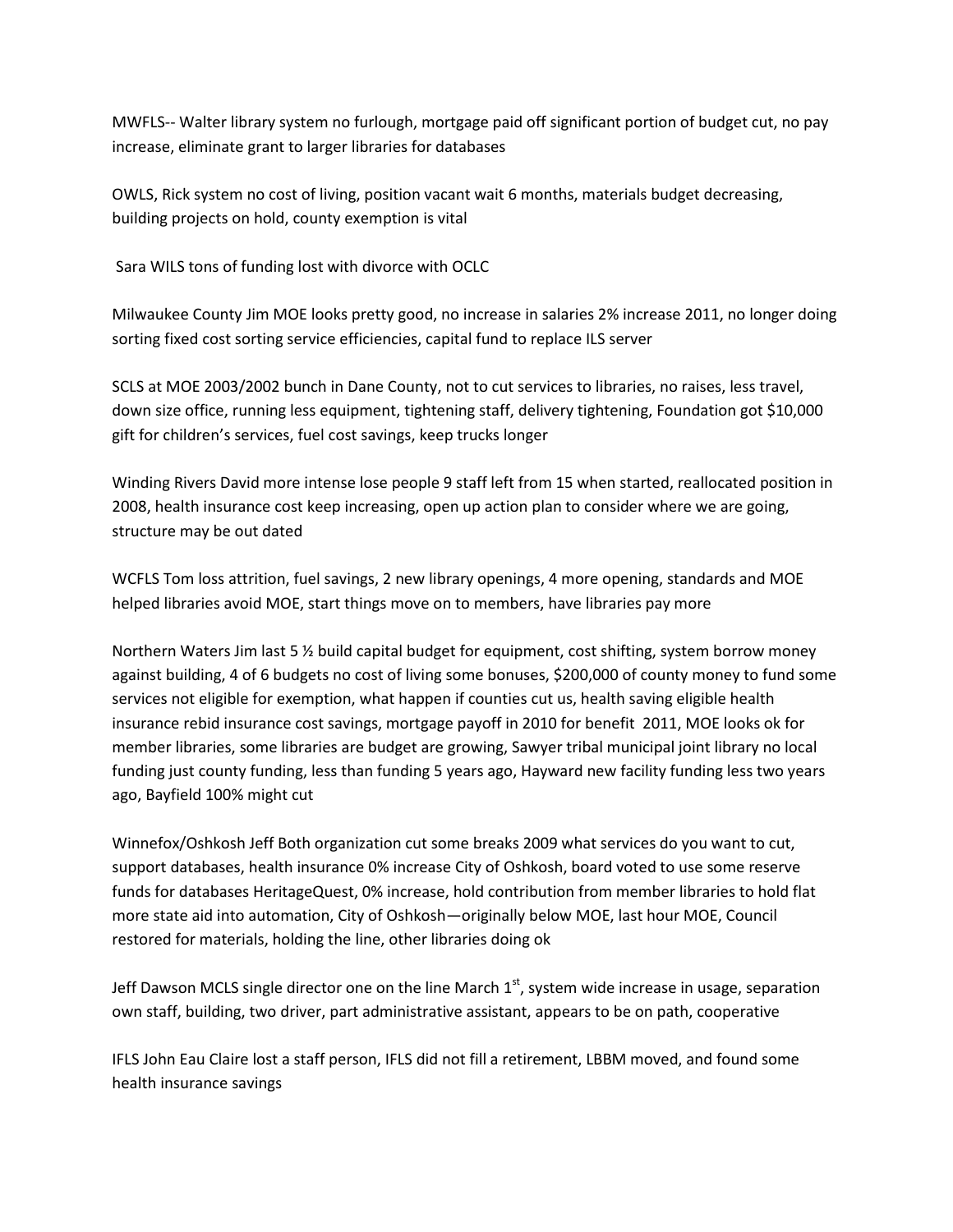MWFLS-- Walter library system no furlough, mortgage paid off significant portion of budget cut, no pay increase, eliminate grant to larger libraries for databases

OWLS, Rick system no cost of living, position vacant wait 6 months, materials budget decreasing, building projects on hold, county exemption is vital

Sara WILS tons of funding lost with divorce with OCLC

Milwaukee County Jim MOE looks pretty good, no increase in salaries 2% increase 2011, no longer doing sorting fixed cost sorting service efficiencies, capital fund to replace ILS server

SCLS at MOE 2003/2002 bunch in Dane County, not to cut services to libraries, no raises, less travel, down size office, running less equipment, tightening staff, delivery tightening, Foundation got \$10,000 gift for children's services, fuel cost savings, keep trucks longer

Winding Rivers David more intense lose people 9 staff left from 15 when started, reallocated position in 2008, health insurance cost keep increasing, open up action plan to consider where we are going, structure may be out dated

WCFLS Tom loss attrition, fuel savings, 2 new library openings, 4 more opening, standards and MOE helped libraries avoid MOE, start things move on to members, have libraries pay more

Northern Waters Jim last 5 ½ build capital budget for equipment, cost shifting, system borrow money against building, 4 of 6 budgets no cost of living some bonuses, \$200,000 of county money to fund some services not eligible for exemption, what happen if counties cut us, health saving eligible health insurance rebid insurance cost savings, mortgage payoff in 2010 for benefit 2011, MOE looks ok for member libraries, some libraries are budget are growing, Sawyer tribal municipal joint library no local funding just county funding, less than funding 5 years ago, Hayward new facility funding less two years ago, Bayfield 100% might cut

Winnefox/Oshkosh Jeff Both organization cut some breaks 2009 what services do you want to cut, support databases, health insurance 0% increase City of Oshkosh, board voted to use some reserve funds for databases HeritageQuest, 0% increase, hold contribution from member libraries to hold flat more state aid into automation, City of Oshkosh—originally below MOE, last hour MOE, Council restored for materials, holding the line, other libraries doing ok

Jeff Dawson MCLS single director one on the line March 1<sup>st</sup>, system wide increase in usage, separation own staff, building, two driver, part administrative assistant, appears to be on path, cooperative

IFLS John Eau Claire lost a staff person, IFLS did not fill a retirement, LBBM moved, and found some health insurance savings